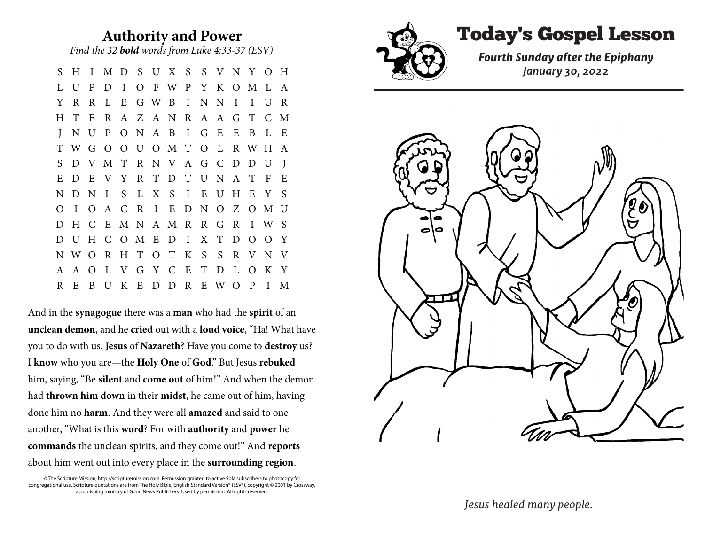## **Authority and Power** *Find the 32 bold words from Luke 4:33-37 (ESV)*

S H I M D S U X S S V N Y O H L U P D I O F W P Y K O M L A Y R R L E G W B I N N I I U R H T E R A Z A N R A A G T C M J N U P O N A B I G E E B L E T W G O O U O M T O L R W H A S D V M T R N V A G C D D U J E D E V Y R T D T U N A T F E N D N L S L X S I E U H E Y S O I O A C R I E D N O Z O M U D H C E M N A M R R G R I W S D U H C O M E D I X T D O O Y N W O R H T O T K S S R V N V A A O L V G Y C E T D L O K Y R E B U K E D D R E W O P I M

And in the **synagogue** there was a **man** who had the **spirit** of an **unclean demon**, and he **cried** out with a **loud voice**, "Ha! What have you to do with us, **Jesus** of **Nazareth**? Have you come to **destroy** us? I **know** who you are—the **Holy One** of **God**." But Jesus **rebuked** him, saying, "Be **silent** and **come out** of him!" And when the demon had **thrown him down** in their **midst**, he came out of him, having done him no **harm**. And they were all **amazed** and said to one another, "What is this **word**? For with **authority** and **power** he **commands** the unclean spirits, and they come out!" And **reports** about him went out into every place in the **surrounding region**.

© The Scripture Mission, http://scripturemission.com. Permission granted to active Sola subscribers to photocopy for congregational use. Scripture quotations are from The Holy Bible, English Standard Version® (ESV®), copyright © 2001 by Crossway, a publishing ministry of Good News Publishers. Used by permission. All rights reserved.



## Today's Gospel Lesson

*Fourth Sunday after the Epiphany January 30, 2022*



*Jesus healed many people.*